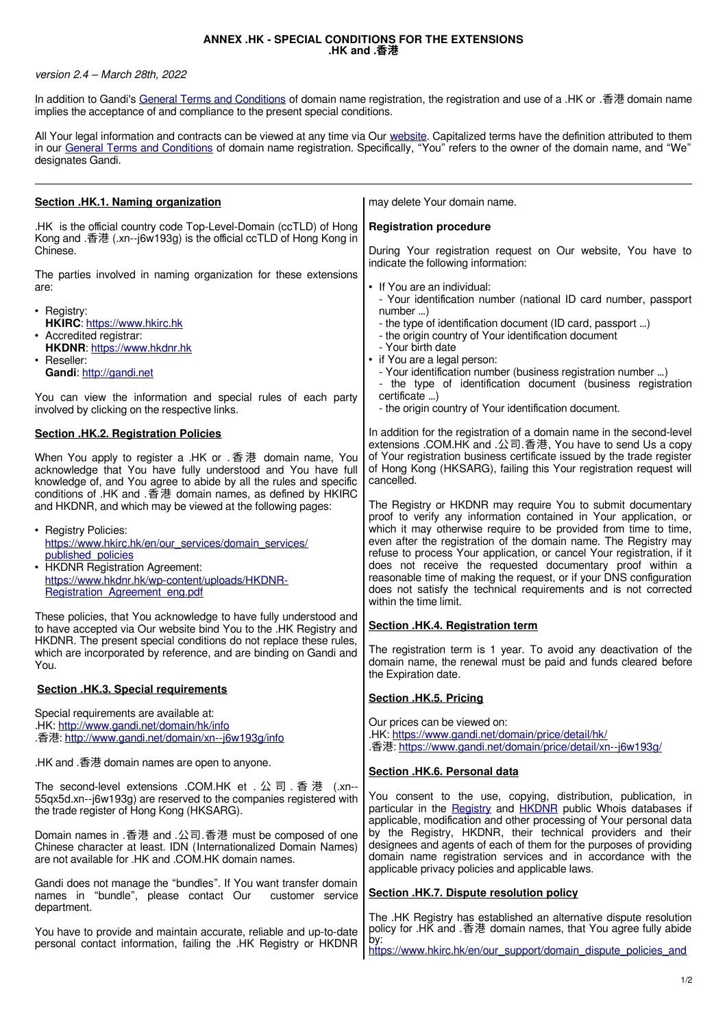## **ANNEX .HK - SPECIAL CONDITIONS FOR THE EXTENSIONS .HK and .香港**

## version 2.4 – March 28th, 2022

In addition to Gandi's [General Terms and Conditions](http://www.gandi.net/contracts) of domain name registration, the registration and use of a .HK or .香港 domain name implies the acceptance of and compliance to the present special conditions.

All Your legal information and contracts can be viewed at any time via Our [website.](http://www.gandi.net/) Capitalized terms have the definition attributed to them in our [General Terms and Conditions](http://www.gandi.net/contracts) of domain name registration. Specifically, "You" refers to the owner of the domain name, and "We" designates Gandi.

| Section .HK.1. Naming organization                                                                                                                                                                                                                                                                           | may delete Your domain name.                                                                                                                                                                                                                                                                                                                                                                                                                                                                                                                                                         |
|--------------------------------------------------------------------------------------------------------------------------------------------------------------------------------------------------------------------------------------------------------------------------------------------------------------|--------------------------------------------------------------------------------------------------------------------------------------------------------------------------------------------------------------------------------------------------------------------------------------------------------------------------------------------------------------------------------------------------------------------------------------------------------------------------------------------------------------------------------------------------------------------------------------|
| .HK is the official country code Top-Level-Domain (ccTLD) of Hong<br>Kong and .香港 (.xn--j6w193g) is the official ccTLD of Hong Kong in                                                                                                                                                                       | <b>Registration procedure</b>                                                                                                                                                                                                                                                                                                                                                                                                                                                                                                                                                        |
| Chinese.                                                                                                                                                                                                                                                                                                     | During Your registration request on Our website, You have to<br>indicate the following information:                                                                                                                                                                                                                                                                                                                                                                                                                                                                                  |
| The parties involved in naming organization for these extensions<br>are:<br>• Registry:<br><b>HKIRC: https://www.hkirc.hk</b><br>• Accredited registrar:<br>HKDNR: https://www.hkdnr.hk<br>• Reseller:<br>Gandi: http://gandi.net                                                                            | • If You are an individual:<br>- Your identification number (national ID card number, passport<br>number<br>- the type of identification document (ID card, passport )<br>- the origin country of Your identification document<br>- Your birth date<br>• if You are a legal person:<br>- Your identification number (business registration number )<br>- the type of identification document (business registration                                                                                                                                                                  |
| You can view the information and special rules of each party<br>involved by clicking on the respective links.                                                                                                                                                                                                | certificate )<br>- the origin country of Your identification document.                                                                                                                                                                                                                                                                                                                                                                                                                                                                                                               |
| <b>Section .HK.2. Registration Policies</b><br>When You apply to register a .HK or .香港 domain name, You<br>acknowledge that You have fully understood and You have full<br>knowledge of, and You agree to abide by all the rules and specific<br>conditions of .HK and .香港 domain names, as defined by HKIRC | In addition for the registration of a domain name in the second-level<br>extensions .COM.HK and .公司.香港, You have to send Us a copy<br>of Your registration business certificate issued by the trade register<br>of Hong Kong (HKSARG), failing this Your registration request will<br>cancelled.                                                                                                                                                                                                                                                                                     |
| and HKDNR, and which may be viewed at the following pages:<br>• Registry Policies:<br>https://www.hkirc.hk/en/our_services/domain_services/<br>published policies<br>• HKDNR Registration Agreement:<br>https://www.hkdnr.hk/wp-content/uploads/HKDNR-<br>Registration Agreement eng.pdf                     | The Registry or HKDNR may require You to submit documentary<br>proof to verify any information contained in Your application, or<br>which it may otherwise require to be provided from time to time,<br>even after the registration of the domain name. The Registry may<br>refuse to process Your application, or cancel Your registration, if it<br>does not receive the requested documentary proof within a<br>reasonable time of making the request, or if your DNS configuration<br>does not satisfy the technical requirements and is not corrected<br>within the time limit. |
| These policies, that You acknowledge to have fully understood and<br>to have accepted via Our website bind You to the .HK Registry and<br>HKDNR. The present special conditions do not replace these rules,<br>which are incorporated by reference, and are binding on Gandi and<br>You.                     | Section .HK.4. Registration term<br>The registration term is 1 year. To avoid any deactivation of the<br>domain name, the renewal must be paid and funds cleared before<br>the Expiration date.                                                                                                                                                                                                                                                                                                                                                                                      |
| <b>Section .HK.3. Special requirements</b>                                                                                                                                                                                                                                                                   | Section .HK.5. Pricing                                                                                                                                                                                                                                                                                                                                                                                                                                                                                                                                                               |
| Special requirements are available at:<br>.HK: http://www.gandi.net/domain/hk/info<br>香港: http://www.gandi.net/domain/xn--j6w193g/info                                                                                                                                                                       | Our prices can be viewed on:<br>.HK: https://www.gandi.net/domain/price/detail/hk/<br>.香港: https://www.gandi.net/domain/price/detail/xn--j6w193g/                                                                                                                                                                                                                                                                                                                                                                                                                                    |
| .HK and .香港 domain names are open to anyone.                                                                                                                                                                                                                                                                 | Section .HK.6. Personal data                                                                                                                                                                                                                                                                                                                                                                                                                                                                                                                                                         |
| The second-level extensions .COM.HK et . 公司 . 香港 (.xn--<br>55qx5d.xn--j6w193g) are reserved to the companies registered with<br>the trade register of Hong Kong (HKSARG).                                                                                                                                    | You consent to the use, copying, distribution, publication, in<br>particular in the Registry and HKDNR public Whois databases if<br>applicable, modification and other processing of Your personal data                                                                                                                                                                                                                                                                                                                                                                              |
| Domain names in .香港 and .公司.香港 must be composed of one<br>Chinese character at least. IDN (Internationalized Domain Names)<br>are not available for .HK and .COM.HK domain names.                                                                                                                            | by the Registry, HKDNR, their technical providers and their<br>designees and agents of each of them for the purposes of providing<br>domain name registration services and in accordance with the<br>applicable privacy policies and applicable laws.                                                                                                                                                                                                                                                                                                                                |
| Gandi does not manage the "bundles". If You want transfer domain<br>names in "bundle", please contact Our<br>customer service                                                                                                                                                                                | Section .HK.7. Dispute resolution policy                                                                                                                                                                                                                                                                                                                                                                                                                                                                                                                                             |
| department.<br>You have to provide and maintain accurate, reliable and up-to-date<br>personal contact information, failing the .HK Registry or HKDNR                                                                                                                                                         | The .HK Registry has established an alternative dispute resolution<br>policy for .HK and .香港 domain names, that You agree fully abide<br>by:<br>https://www.hkirc.hk/en/our_support/domain_dispute_policies_and                                                                                                                                                                                                                                                                                                                                                                      |